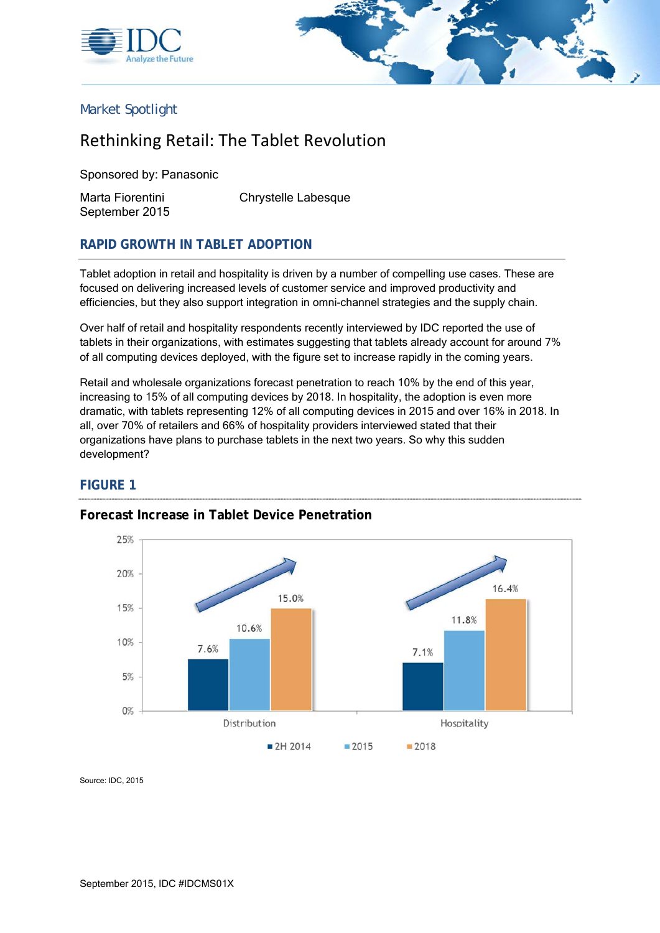



### Market Spotlight

# Rethinking Retail: The Tablet Revolution

Sponsored by: Panasonic

September 2015

Marta Fiorentini Chrystelle Labesque

#### **RAPID GROWTH IN TABLET ADOPTION**

Tablet adoption in retail and hospitality is driven by a number of compelling use cases. These are focused on delivering increased levels of customer service and improved productivity and efficiencies, but they also support integration in omni-channel strategies and the supply chain.

Over half of retail and hospitality respondents recently interviewed by IDC reported the use of tablets in their organizations, with estimates suggesting that tablets already account for around 7% of all computing devices deployed, with the figure set to increase rapidly in the coming years.

Retail and wholesale organizations forecast penetration to reach 10% by the end of this year, increasing to 15% of all computing devices by 2018. In hospitality, the adoption is even more dramatic, with tablets representing 12% of all computing devices in 2015 and over 16% in 2018. In all, over 70% of retailers and 66% of hospitality providers interviewed stated that their organizations have plans to purchase tablets in the next two years. So why this sudden development?

#### **FIGURE 1**



#### **Forecast Increase in Tablet Device Penetration**

Source: IDC, 2015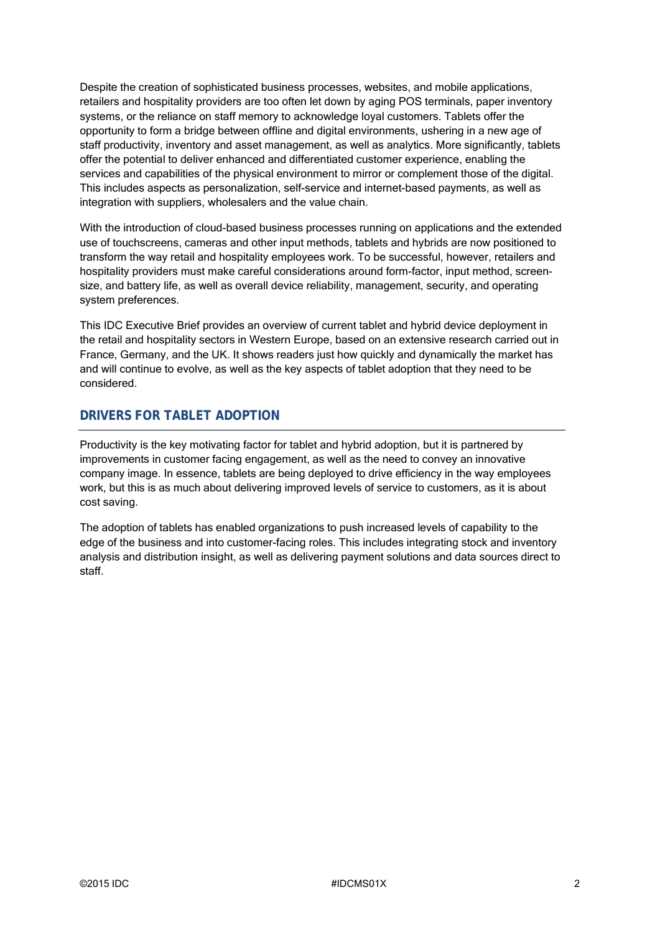Despite the creation of sophisticated business processes, websites, and mobile applications, retailers and hospitality providers are too often let down by aging POS terminals, paper inventory systems, or the reliance on staff memory to acknowledge loyal customers. Tablets offer the opportunity to form a bridge between offline and digital environments, ushering in a new age of staff productivity, inventory and asset management, as well as analytics. More significantly, tablets offer the potential to deliver enhanced and differentiated customer experience, enabling the services and capabilities of the physical environment to mirror or complement those of the digital. This includes aspects as personalization, self-service and internet-based payments, as well as integration with suppliers, wholesalers and the value chain.

With the introduction of cloud-based business processes running on applications and the extended use of touchscreens, cameras and other input methods, tablets and hybrids are now positioned to transform the way retail and hospitality employees work. To be successful, however, retailers and hospitality providers must make careful considerations around form-factor, input method, screensize, and battery life, as well as overall device reliability, management, security, and operating system preferences.

This IDC Executive Brief provides an overview of current tablet and hybrid device deployment in the retail and hospitality sectors in Western Europe, based on an extensive research carried out in France, Germany, and the UK. It shows readers just how quickly and dynamically the market has and will continue to evolve, as well as the key aspects of tablet adoption that they need to be considered.

## **DRIVERS FOR TABLET ADOPTION**

Productivity is the key motivating factor for tablet and hybrid adoption, but it is partnered by improvements in customer facing engagement, as well as the need to convey an innovative company image. In essence, tablets are being deployed to drive efficiency in the way employees work, but this is as much about delivering improved levels of service to customers, as it is about cost saving.

The adoption of tablets has enabled organizations to push increased levels of capability to the edge of the business and into customer-facing roles. This includes integrating stock and inventory analysis and distribution insight, as well as delivering payment solutions and data sources direct to staff.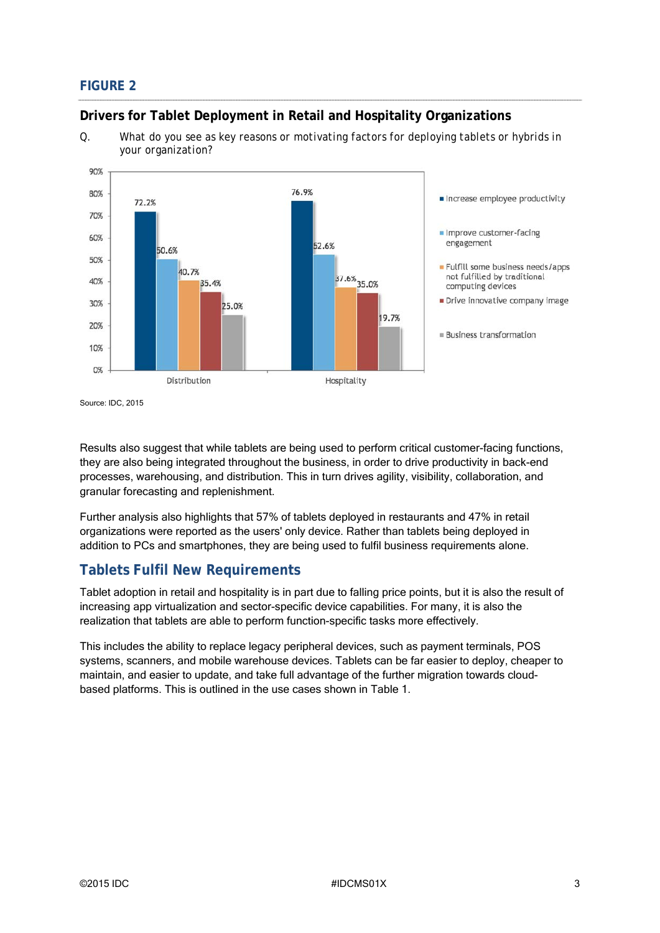# **FIGURE 2**

### **Drivers for Tablet Deployment in Retail and Hospitality Organizations**

*Q. What do you see as key reasons or motivating factors for deploying tablets or hybrids in your organization?* 



Source: IDC, 2015

Results also suggest that while tablets are being used to perform critical customer-facing functions, they are also being integrated throughout the business, in order to drive productivity in back-end processes, warehousing, and distribution. This in turn drives agility, visibility, collaboration, and granular forecasting and replenishment.

Further analysis also highlights that 57% of tablets deployed in restaurants and 47% in retail organizations were reported as the users' only device. Rather than tablets being deployed in addition to PCs and smartphones, they are being used to fulfil business requirements alone.

# **Tablets Fulfil New Requirements**

Tablet adoption in retail and hospitality is in part due to falling price points, but it is also the result of increasing app virtualization and sector-specific device capabilities. For many, it is also the realization that tablets are able to perform function-specific tasks more effectively.

This includes the ability to replace legacy peripheral devices, such as payment terminals, POS systems, scanners, and mobile warehouse devices. Tablets can be far easier to deploy, cheaper to maintain, and easier to update, and take full advantage of the further migration towards cloudbased platforms. This is outlined in the use cases shown in Table 1.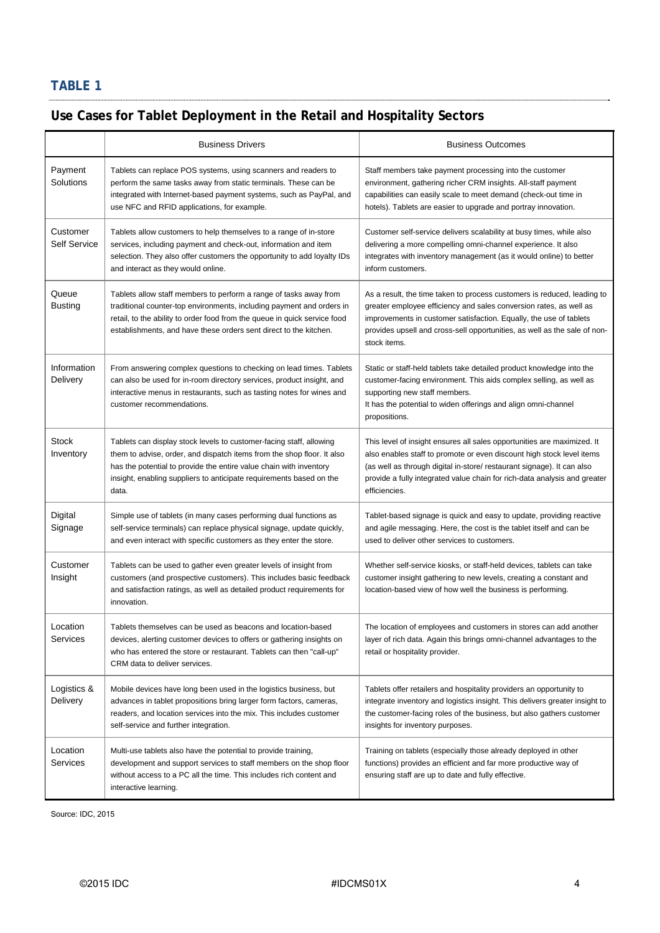# **TABLE 1**

# **Use Cases for Tablet Deployment in the Retail and Hospitality Sectors**

|                                 | <b>Business Drivers</b>                                                                                                                                                                                                                                                                             | <b>Business Outcomes</b>                                                                                                                                                                                                                                                                                                 |
|---------------------------------|-----------------------------------------------------------------------------------------------------------------------------------------------------------------------------------------------------------------------------------------------------------------------------------------------------|--------------------------------------------------------------------------------------------------------------------------------------------------------------------------------------------------------------------------------------------------------------------------------------------------------------------------|
| Payment<br>Solutions            | Tablets can replace POS systems, using scanners and readers to<br>perform the same tasks away from static terminals. These can be<br>integrated with Internet-based payment systems, such as PayPal, and<br>use NFC and RFID applications, for example.                                             | Staff members take payment processing into the customer<br>environment, gathering richer CRM insights. All-staff payment<br>capabilities can easily scale to meet demand (check-out time in<br>hotels). Tablets are easier to upgrade and portray innovation.                                                            |
| Customer<br><b>Self Service</b> | Tablets allow customers to help themselves to a range of in-store<br>services, including payment and check-out, information and item<br>selection. They also offer customers the opportunity to add loyalty IDs<br>and interact as they would online.                                               | Customer self-service delivers scalability at busy times, while also<br>delivering a more compelling omni-channel experience. It also<br>integrates with inventory management (as it would online) to better<br>inform customers.                                                                                        |
| Queue<br><b>Busting</b>         | Tablets allow staff members to perform a range of tasks away from<br>traditional counter-top environments, including payment and orders in<br>retail, to the ability to order food from the queue in quick service food<br>establishments, and have these orders sent direct to the kitchen.        | As a result, the time taken to process customers is reduced, leading to<br>greater employee efficiency and sales conversion rates, as well as<br>improvements in customer satisfaction. Equally, the use of tablets<br>provides upsell and cross-sell opportunities, as well as the sale of non-<br>stock items.         |
| Information<br>Delivery         | From answering complex questions to checking on lead times. Tablets<br>can also be used for in-room directory services, product insight, and<br>interactive menus in restaurants, such as tasting notes for wines and<br>customer recommendations.                                                  | Static or staff-held tablets take detailed product knowledge into the<br>customer-facing environment. This aids complex selling, as well as<br>supporting new staff members.<br>It has the potential to widen offerings and align omni-channel<br>propositions.                                                          |
| <b>Stock</b><br>Inventory       | Tablets can display stock levels to customer-facing staff, allowing<br>them to advise, order, and dispatch items from the shop floor. It also<br>has the potential to provide the entire value chain with inventory<br>insight, enabling suppliers to anticipate requirements based on the<br>data. | This level of insight ensures all sales opportunities are maximized. It<br>also enables staff to promote or even discount high stock level items<br>(as well as through digital in-store/ restaurant signage). It can also<br>provide a fully integrated value chain for rich-data analysis and greater<br>efficiencies. |
| Digital<br>Signage              | Simple use of tablets (in many cases performing dual functions as<br>self-service terminals) can replace physical signage, update quickly,<br>and even interact with specific customers as they enter the store.                                                                                    | Tablet-based signage is quick and easy to update, providing reactive<br>and agile messaging. Here, the cost is the tablet itself and can be<br>used to deliver other services to customers.                                                                                                                              |
| Customer<br>Insight             | Tablets can be used to gather even greater levels of insight from<br>customers (and prospective customers). This includes basic feedback<br>and satisfaction ratings, as well as detailed product requirements for<br>innovation.                                                                   | Whether self-service kiosks, or staff-held devices, tablets can take<br>customer insight gathering to new levels, creating a constant and<br>location-based view of how well the business is performing.                                                                                                                 |
| Location<br>Services            | Tablets themselves can be used as beacons and location-based<br>devices, alerting customer devices to offers or gathering insights on<br>who has entered the store or restaurant. Tablets can then "call-up"<br>CRM data to deliver services.                                                       | The location of employees and customers in stores can add anotner<br>layer of rich data. Again this brings omni-channel advantages to the<br>retail or hospitality provider.                                                                                                                                             |
| Logistics &<br>Delivery         | Mobile devices have long been used in the logistics business, but<br>advances in tablet propositions bring larger form factors, cameras,<br>readers, and location services into the mix. This includes customer<br>self-service and further integration.                                            | Tablets offer retailers and hospitality providers an opportunity to<br>integrate inventory and logistics insight. This delivers greater insight to<br>the customer-facing roles of the business, but also gathers customer<br>insights for inventory purposes.                                                           |
| Location<br><b>Services</b>     | Multi-use tablets also have the potential to provide training,<br>development and support services to staff members on the shop floor<br>without access to a PC all the time. This includes rich content and<br>interactive learning.                                                               | Training on tablets (especially those already deployed in other<br>functions) provides an efficient and far more productive way of<br>ensuring staff are up to date and fully effective.                                                                                                                                 |

Source: IDC, 2015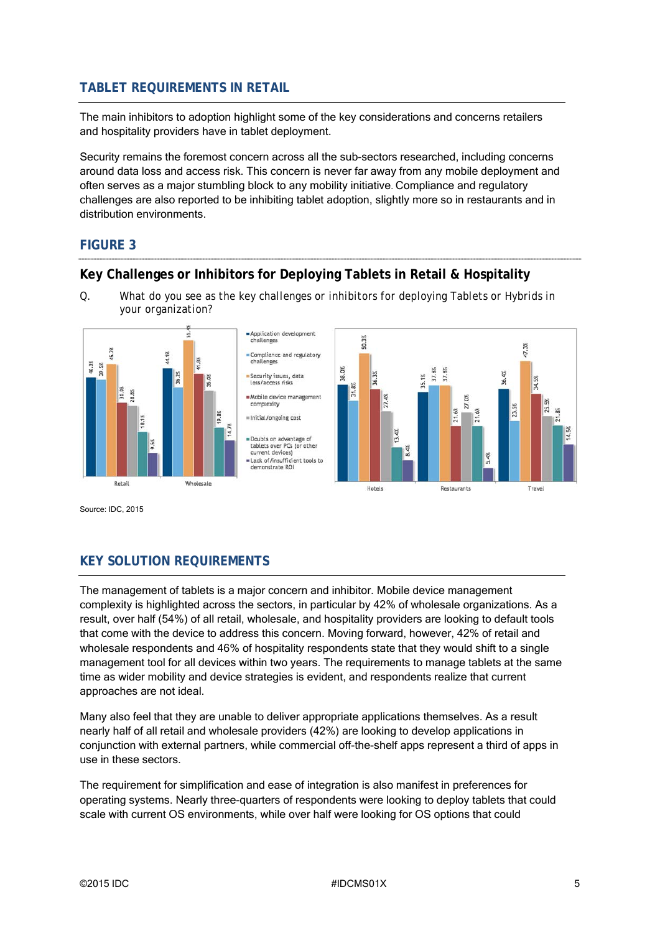# **TABLET REQUIREMENTS IN RETAIL**

The main inhibitors to adoption highlight some of the key considerations and concerns retailers and hospitality providers have in tablet deployment.

Security remains the foremost concern across all the sub-sectors researched, including concerns around data loss and access risk. This concern is never far away from any mobile deployment and often serves as a major stumbling block to any mobility initiative. Compliance and regulatory challenges are also reported to be inhibiting tablet adoption, slightly more so in restaurants and in distribution environments.

#### **FIGURE 3**

# **Key Challenges or Inhibitors for Deploying Tablets in Retail & Hospitality**

*Q. What do you see as the key challenges or inhibitors for deploying Tablets or Hybrids in your organization?* 



Source: IDC, 2015

# **KEY SOLUTION REQUIREMENTS**

The management of tablets is a major concern and inhibitor. Mobile device management complexity is highlighted across the sectors, in particular by 42% of wholesale organizations. As a result, over half (54%) of all retail, wholesale, and hospitality providers are looking to default tools that come with the device to address this concern. Moving forward, however, 42% of retail and wholesale respondents and 46% of hospitality respondents state that they would shift to a single management tool for all devices within two years. The requirements to manage tablets at the same time as wider mobility and device strategies is evident, and respondents realize that current approaches are not ideal.

Many also feel that they are unable to deliver appropriate applications themselves. As a result nearly half of all retail and wholesale providers (42%) are looking to develop applications in conjunction with external partners, while commercial off-the-shelf apps represent a third of apps in use in these sectors.

The requirement for simplification and ease of integration is also manifest in preferences for operating systems. Nearly three-quarters of respondents were looking to deploy tablets that could scale with current OS environments, while over half were looking for OS options that could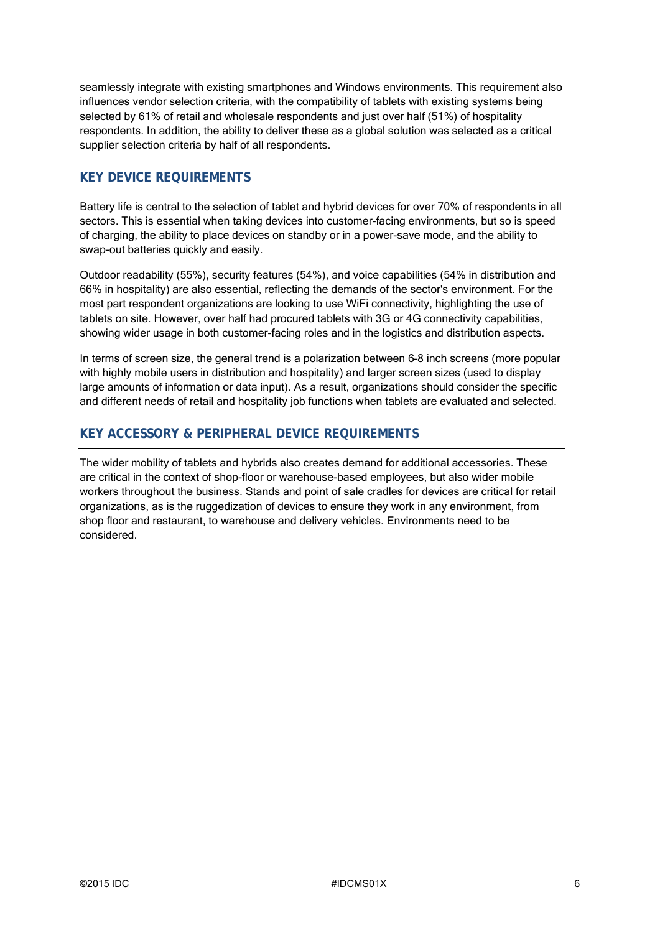seamlessly integrate with existing smartphones and Windows environments. This requirement also influences vendor selection criteria, with the compatibility of tablets with existing systems being selected by 61% of retail and wholesale respondents and just over half (51%) of hospitality respondents. In addition, the ability to deliver these as a global solution was selected as a critical supplier selection criteria by half of all respondents.

## **KEY DEVICE REQUIREMENTS**

Battery life is central to the selection of tablet and hybrid devices for over 70% of respondents in all sectors. This is essential when taking devices into customer-facing environments, but so is speed of charging, the ability to place devices on standby or in a power-save mode, and the ability to swap-out batteries quickly and easily.

Outdoor readability (55%), security features (54%), and voice capabilities (54% in distribution and 66% in hospitality) are also essential, reflecting the demands of the sector's environment. For the most part respondent organizations are looking to use WiFi connectivity, highlighting the use of tablets on site. However, over half had procured tablets with 3G or 4G connectivity capabilities, showing wider usage in both customer-facing roles and in the logistics and distribution aspects.

In terms of screen size, the general trend is a polarization between 6–8 inch screens (more popular with highly mobile users in distribution and hospitality) and larger screen sizes (used to display large amounts of information or data input). As a result, organizations should consider the specific and different needs of retail and hospitality job functions when tablets are evaluated and selected.

# **KEY ACCESSORY & PERIPHERAL DEVICE REQUIREMENTS**

The wider mobility of tablets and hybrids also creates demand for additional accessories. These are critical in the context of shop-floor or warehouse-based employees, but also wider mobile workers throughout the business. Stands and point of sale cradles for devices are critical for retail organizations, as is the ruggedization of devices to ensure they work in any environment, from shop floor and restaurant, to warehouse and delivery vehicles. Environments need to be considered.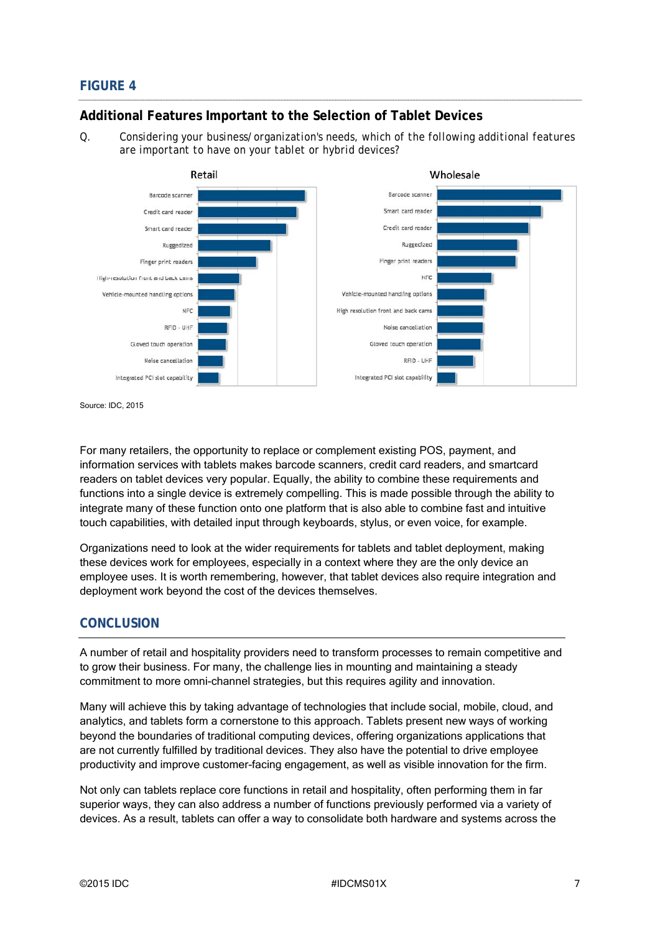## **FIGURE 4**

#### **Additional Features Important to the Selection of Tablet Devices**

*Q. Considering your business/organization's needs, which of the following additional features are important to have on your tablet or hybrid devices?* 



Source: IDC, 2015

For many retailers, the opportunity to replace or complement existing POS, payment, and information services with tablets makes barcode scanners, credit card readers, and smartcard readers on tablet devices very popular. Equally, the ability to combine these requirements and functions into a single device is extremely compelling. This is made possible through the ability to integrate many of these function onto one platform that is also able to combine fast and intuitive touch capabilities, with detailed input through keyboards, stylus, or even voice, for example.

Organizations need to look at the wider requirements for tablets and tablet deployment, making these devices work for employees, especially in a context where they are the only device an employee uses. It is worth remembering, however, that tablet devices also require integration and deployment work beyond the cost of the devices themselves.

#### **CONCLUSION**

A number of retail and hospitality providers need to transform processes to remain competitive and to grow their business. For many, the challenge lies in mounting and maintaining a steady commitment to more omni-channel strategies, but this requires agility and innovation.

Many will achieve this by taking advantage of technologies that include social, mobile, cloud, and analytics, and tablets form a cornerstone to this approach. Tablets present new ways of working beyond the boundaries of traditional computing devices, offering organizations applications that are not currently fulfilled by traditional devices. They also have the potential to drive employee productivity and improve customer-facing engagement, as well as visible innovation for the firm.

Not only can tablets replace core functions in retail and hospitality, often performing them in far superior ways, they can also address a number of functions previously performed via a variety of devices. As a result, tablets can offer a way to consolidate both hardware and systems across the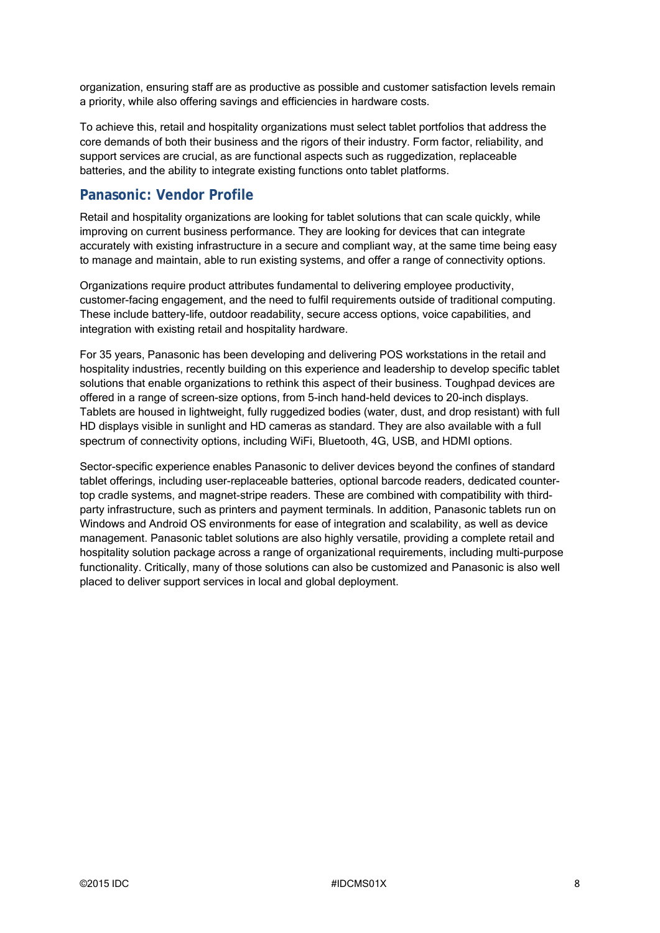organization, ensuring staff are as productive as possible and customer satisfaction levels remain a priority, while also offering savings and efficiencies in hardware costs.

To achieve this, retail and hospitality organizations must select tablet portfolios that address the core demands of both their business and the rigors of their industry. Form factor, reliability, and support services are crucial, as are functional aspects such as ruggedization, replaceable batteries, and the ability to integrate existing functions onto tablet platforms.

# **Panasonic: Vendor Profile**

Retail and hospitality organizations are looking for tablet solutions that can scale quickly, while improving on current business performance. They are looking for devices that can integrate accurately with existing infrastructure in a secure and compliant way, at the same time being easy to manage and maintain, able to run existing systems, and offer a range of connectivity options.

Organizations require product attributes fundamental to delivering employee productivity, customer-facing engagement, and the need to fulfil requirements outside of traditional computing. These include battery-life, outdoor readability, secure access options, voice capabilities, and integration with existing retail and hospitality hardware.

For 35 years, Panasonic has been developing and delivering POS workstations in the retail and hospitality industries, recently building on this experience and leadership to develop specific tablet solutions that enable organizations to rethink this aspect of their business. Toughpad devices are offered in a range of screen-size options, from 5-inch hand-held devices to 20-inch displays. Tablets are housed in lightweight, fully ruggedized bodies (water, dust, and drop resistant) with full HD displays visible in sunlight and HD cameras as standard. They are also available with a full spectrum of connectivity options, including WiFi, Bluetooth, 4G, USB, and HDMI options.

Sector-specific experience enables Panasonic to deliver devices beyond the confines of standard tablet offerings, including user-replaceable batteries, optional barcode readers, dedicated countertop cradle systems, and magnet-stripe readers. These are combined with compatibility with thirdparty infrastructure, such as printers and payment terminals. In addition, Panasonic tablets run on Windows and Android OS environments for ease of integration and scalability, as well as device management. Panasonic tablet solutions are also highly versatile, providing a complete retail and hospitality solution package across a range of organizational requirements, including multi-purpose functionality. Critically, many of those solutions can also be customized and Panasonic is also well placed to deliver support services in local and global deployment.